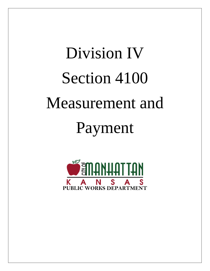# Division IV Section 4100 Measurement and Payment

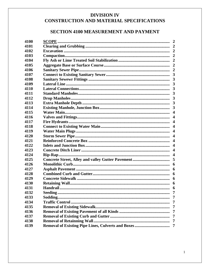# **DIVISION IV** CONSTRUCTION AND MATERIAL SPECIFICATIONS

# **SECTION 4100 MEASUREMENT AND PAYMENT**

| 4100 | <b>SCOPE.</b> |                |
|------|---------------|----------------|
| 4101 |               |                |
| 4102 |               |                |
| 4103 |               |                |
| 4104 |               |                |
| 4105 |               |                |
| 4106 |               |                |
| 4107 |               |                |
| 4108 |               |                |
| 4109 |               |                |
| 4110 |               | 3              |
| 4111 |               |                |
| 4112 |               |                |
| 4113 |               |                |
| 4114 |               |                |
| 4115 |               |                |
| 4116 |               |                |
| 4117 |               |                |
| 4118 |               |                |
| 4119 |               |                |
| 4120 |               |                |
| 4121 |               |                |
| 4122 |               |                |
| 4123 |               |                |
| 4124 |               |                |
| 4125 |               |                |
| 4126 |               |                |
| 4127 |               | 6              |
| 4128 |               | 6              |
| 4129 |               | 6              |
| 4130 |               | 6              |
| 4131 |               |                |
| 4132 |               | $\overline{7}$ |
| 4133 |               |                |
| 4134 |               | 7              |
| 4135 |               | 7              |
| 4136 |               | -7             |
| 4137 |               | $\overline{7}$ |
| 4138 |               | -7             |
| 4139 |               | $\overline{7}$ |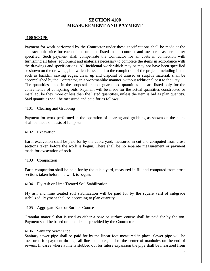# **SECTION 4100 MEASUREMENT AND PAYMENT**

#### **4100 SCOPE**

Payment for work performed by the Contractor under these specifications shall be made at the contract unit price for each of the units as listed in the contract and measured as hereinafter specified. Such payment shall compensate the Contractor for all costs in connection with furnishing all labor, equipment and materials necessary to complete the items in accordance with the drawings and specifications. All incidental work which may or may not have been specified or shown on the drawings, but which is essential to the completion of the project, including items such as backfill, sawing edges, clean up and disposal of unused or surplus material, shall be accomplished by the Contractor, in a workmanlike manner, without additional cost to the City. The quantities listed in the proposal are not guaranteed quantities and are listed only for the convenience of comparing bids. Payment will be made for the actual quantities constructed or installed, be they more or less than the listed quantities, unless the item is bid as plan quantity. Said quantities shall be measured and paid for as follows:

4101 Clearing and Grubbing

Payment for work performed in the operation of clearing and grubbing as shown on the plans shall be made on basis of lump sum.

4102 Excavation

Earth excavation shall be paid for by the cubic yard, measured in cut and computed from cross sections taken before the work is begun. There shall be no separate measurement or payment made for excavation of rock.

#### 4103 Compaction

Earth compaction shall be paid for by the cubic yard, measured in fill and computed from cross sections taken before the work is begun.

4104 Fly Ash or Lime Treated Soil Stabilization

Fly ash and lime treated soil stabilization will be paid for by the square yard of subgrade stabilized. Payment shall be according to plan quantity.

4105 Aggregate Base or Surface Course

Granular material that is used as either a base or surface course shall be paid for by the ton. Payment shall be based on load tickets provided by the Contractor.

#### 4106 Sanitary Sewer Pipe

Sanitary sewer pipe shall be paid for by the linear foot measured in place. Sewer pipe will be measured for payment through all line manholes, and to the center of manholes on the end of sewers. In cases where a line is stubbed out for future expansion the pipe shall be measured from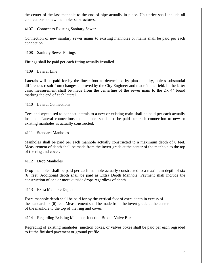the center of the last manhole to the end of pipe actually in place. Unit price shall include all connections to new manholes or structures.

# 4107 Connect to Existing Sanitary Sewer

Connection of new sanitary sewer mains to existing manholes or mains shall be paid per each connection.

4108 Sanitary Sewer Fittings

Fittings shall be paid per each fitting actually installed.

## 4109 Lateral Line

Laterals will be paid for by the linear foot as determined by plan quantity, unless substantial differences result from changes approved by the City Engineer and made in the field. In the latter case, measurement shall be made from the centerline of the sewer main to the 2'x 4" board marking the end of each lateral.

4110 Lateral Connections

Tees and wyes used to connect laterals to a new or existing main shall be paid per each actually installed. Lateral connections to manholes shall also be paid per each connection to new or existing manholes as actually constructed.

4111 Standard Manholes

Manholes shall be paid per each manhole actually constructed to a maximum depth of 6 feet. Measurement of depth shall be made from the invert grade at the center of the manhole to the top of the ring and cover.

4112 Drop Manholes

Drop manholes shall be paid per each manhole actually constructed to a maximum depth of six (6) feet. Additional depth shall be paid as Extra Depth Manhole. Payment shall include the construction of one or more outside drops regardless of depth.

4113 Extra Manhole Depth

Extra manhole depth shall be paid for by the vertical foot of extra depth in excess of the standard six (6) feet. Measurement shall be made from the invert grade at the center of the manhole to the top of the ring and cover,

# 4114 Regarding Existing Manhole, Junction Box or Valve Box

Regrading of existing manholes, junction boxes, or valves boxes shall be paid per each regraded to fit the finished pavement or ground profile.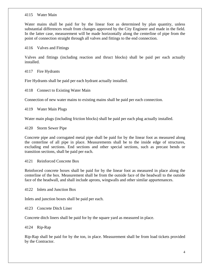#### 4115 Water Main

Water mains shall be paid for by the linear foot as determined by plan quantity, unless substantial differences result from changes approved by the City Engineer and made in the field. In the latter case, measurement will be made horizontally along the centerline of pipe from the point of connection straight through all valves and fittings to the end connection.

4116 Valves and Fittings

Valves and fittings (including reaction and thruct blocks) shall be paid per each actually installed.

4117 Fire Hydrants

Fire Hydrants shall be paid per each hydrant actually installed.

4118 Connect to Existing Water Main

Connection of new water mains to existing mains shall be paid per each connection.

4119 Water Main Plugs

Water main plugs (including friction blocks) shall be paid per each plug actually installed.

4120 Storm Sewer Pipe

Concrete pipe and corrugated metal pipe shall be paid for by the linear foot as measured along the centerline of all pipe in place. Measurements shall be to the inside edge of structures, excluding end sections. End sections and other special sections, such as precast bends or transition sections, shall be paid per each.

4121 Reinforced Concrete Box

Reinforced concrete boxes shall be paid for by the linear foot as measured in place along the centerline of the box. Measurement shall be from the outside face of the headwall to the outside face of the headwall, and shall include aprons, wingwalls and other similar appurtenances.

4122 Inlets and Junction Box

Inlets and junction boxes shall be paid per each.

4123 Concrete Ditch Liner

Concrete ditch liners shall be paid for by the square yard as measured in place.

4124 Rip-Rap

Rip-Rap shall be paid for by the ton, in place. Measurement shall be from load tickets provided by the Contractor.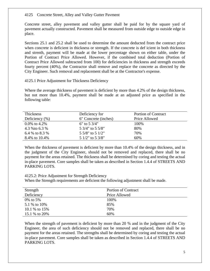#### 4125 Concrete Street, Alley and Valley Gutter Pavment

Concrete street, alley pavement and valley gutter shall be paid for by the square yard of pavement actually constructed. Pavement shall be measured from outside edge to outside edge in place.

Sections 25.1 and 25.2 shall be used to determine the amount deducted from the contract price when concrete is deficient in thickness or strength. If the concrete is def icient in both thickness and strenth, payment will be made at the lower percentage shown on either table, under the Portion of Contract Price Allowed. However, if the combined total deduction (Portion of Contract Price Allowed subtracted from 100) for deficiencies in thickness and strength exceeds fourty percent (40%), the Contractor shall remove and replace the concrete as directed by the City Engineer. Such removal and replacement shall be at the Contractor's expense.

## 4125.1 Price Adjustment for Thickness Deficiency

Where the average thickness of pavement is deficient by more than 4.2% of the design thickness, but not more than 10.4%, payment shall be made at an adjusted price as specified in the following table:

| Thickness          | Deficiency for         | <b>Portion of Contract</b> |
|--------------------|------------------------|----------------------------|
| Deficiency $(\% )$ | 6" Concrete (inches)   | Price Allowed              |
| 0.0\% to 4.2\%     | 6" to $5\frac{3}{4}$ " | 100%                       |
| 4.3 % to 6.3 %     | 5 3/4" to 5 5/8"       | 80%                        |
| 6.4 % to 8.3 %     | 5 5/8" to 5 1/2"       | 70%                        |
| 8.4% to 10.4%      | 5 1/2" to 5 3/8"       | 60%                        |

When the thickness of pavement is deficient by more than 10.4% of the design thickness, and in the judgment of the City Engineer, should not be removed and replaced, there shall be no payment for the areas retained. The thickness shall be determined by coring and testing the actual in-place pavement. Core samples shall be taken as described in Section 1.4.4 of STREETS AND PARKING LOTS.

#### 4125.2: Price Adjustment for Strength Deficiency

When the Strength requirements are deficient the following adjustment shall be made.

| Strength      | <b>Portion of Contract</b> |
|---------------|----------------------------|
| Deficiency    | Price Allowed              |
| 0\% to 5\%    | 100%                       |
| 5.1 % to 10%  | 85%                        |
| 10.1 % to 15% | 70%                        |
| 15.1 % to 20% | 60%                        |

When the strength of pavement is deficient by more than 20 % and in the judgment of the City Engineer, the area of such deficiency should not be removed and replaced, there shall be no payment for the areas retained. The strengths shall be determined by coring and testing the actual in-place pavement. Core samples shall be taken as described in Section 1.4.4 of STREETS AND PARKING LOTS.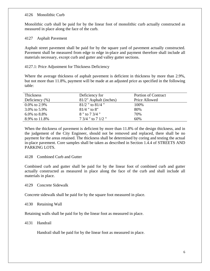#### 4126 Monolithic Curb

Monolithic curb shall be paid for by the linear foot of monolithic curb actually constructed as measured in place along the face of the curb.

#### 4127 Asphalt Pavement

Asphalt street pavement shall be paid for by the square yard of pavement actually constructed. Pavement shall be measured from edge to edge in-place and payment therefore shall include all materials necessary, except curb and gutter and valley gutter sections.

## 4127.1: Price Adjustment for Thickness Deficiency

Where the average thickness of asphalt pavement is deficient in thickness by more than 2.9%, but not more than 11.8%, payment will be made at an adjusted price as specified in the following table:

| Thickness          | Deficiency for         | <b>Portion of Contract</b> |
|--------------------|------------------------|----------------------------|
| Deficiency $(\% )$ | 81/2" Asphalt (inches) | Price Allowed              |
| $0.0\%$ to 2.9%    | $81/2$ " to $81/4$ "   | 100%                       |
| 3.0% to 5.9%       | $81/4$ " to 8"         | 80%                        |
| 6.0% to $8.8\%$    | 8 " to 7 3/4 "         | 70%                        |
| 8.9% to 11.8%      | 7 3/4 " to 7 1/2 "     | 60%                        |

When the thickness of pavement is deficient by more than 11.8% of the design thickness, and in the judgement of the City Engineer, should not be removed and replaced, there shall be no payment for the areas retained. The thickness shall be determined by coring and testing the actual in-place pavement. Core samples shall be taken as described in Section 1.4.4 of STREETS AND PARKING LOTS.

#### 4128 Combined Curb and Gutter

Combined curb and gutter shall be paid for by the linear foot of combined curb and gutter actually constructed as measured in place along the face of the curb and shall include all materials in place.

#### 4129 Concrete Sidewalk

Concrete sidewalk shall be paid for by the square foot measured in place.

```
4130 Retaining Wall
```
Retaining walls shall be paid for by the linear foot as measured in place.

4131 Handrail

Handrail shall be paid for by the linear foot as measured in place.